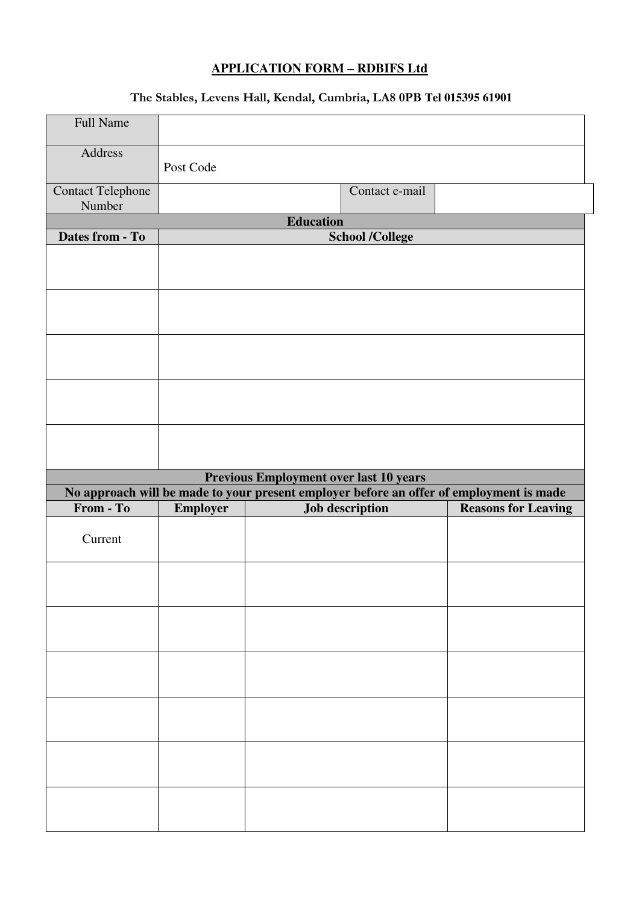## **APPLICATION FORM – RDBIFS Ltd**

## **The Stables, Levens Hall, Kendal, Cumbria, LA8 0PB Tel 015395 61901**

| <b>Full Name</b>                   |                 |                                                                                         |                            |  |
|------------------------------------|-----------------|-----------------------------------------------------------------------------------------|----------------------------|--|
| Address                            | Post Code       |                                                                                         |                            |  |
| <b>Contact Telephone</b><br>Number |                 | Contact e-mail                                                                          |                            |  |
|                                    |                 | <b>Education</b>                                                                        |                            |  |
| Dates from - To                    |                 | <b>School /College</b>                                                                  |                            |  |
|                                    |                 |                                                                                         |                            |  |
|                                    |                 |                                                                                         |                            |  |
|                                    |                 |                                                                                         |                            |  |
|                                    |                 |                                                                                         |                            |  |
|                                    |                 |                                                                                         |                            |  |
|                                    |                 | <b>Previous Employment over last 10 years</b>                                           |                            |  |
| From - To                          |                 | No approach will be made to your present employer before an offer of employment is made |                            |  |
|                                    | <b>Employer</b> | <b>Job description</b>                                                                  | <b>Reasons for Leaving</b> |  |
| Current                            |                 |                                                                                         |                            |  |
|                                    |                 |                                                                                         |                            |  |
|                                    |                 |                                                                                         |                            |  |
|                                    |                 |                                                                                         |                            |  |
|                                    |                 |                                                                                         |                            |  |
|                                    |                 |                                                                                         |                            |  |
|                                    |                 |                                                                                         |                            |  |
|                                    |                 |                                                                                         |                            |  |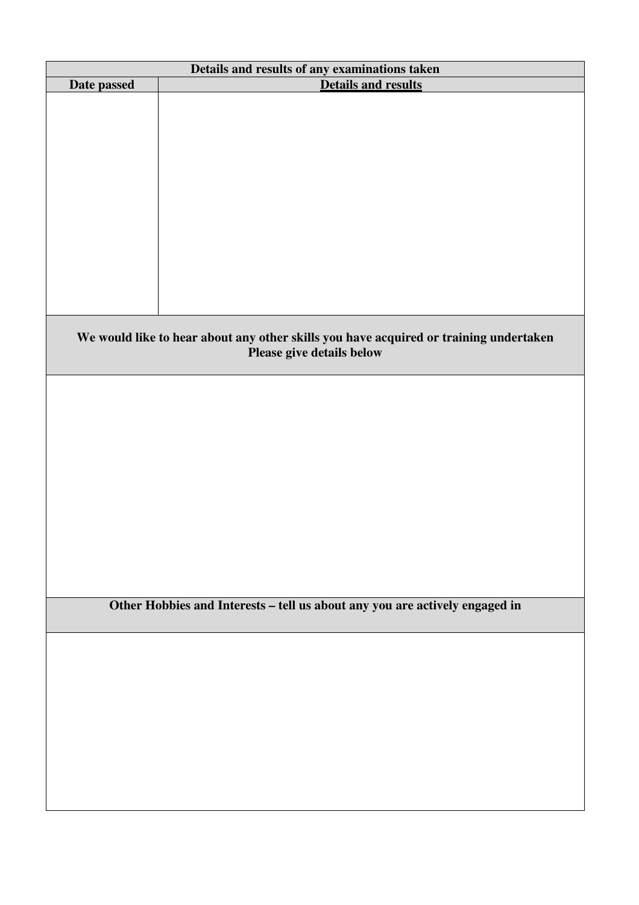| Details and results of any examinations taken                               |                                                                                       |  |  |  |
|-----------------------------------------------------------------------------|---------------------------------------------------------------------------------------|--|--|--|
| Date passed                                                                 | <b>Details and results</b>                                                            |  |  |  |
|                                                                             |                                                                                       |  |  |  |
|                                                                             |                                                                                       |  |  |  |
|                                                                             |                                                                                       |  |  |  |
|                                                                             |                                                                                       |  |  |  |
|                                                                             |                                                                                       |  |  |  |
|                                                                             |                                                                                       |  |  |  |
|                                                                             |                                                                                       |  |  |  |
|                                                                             |                                                                                       |  |  |  |
|                                                                             |                                                                                       |  |  |  |
|                                                                             |                                                                                       |  |  |  |
|                                                                             |                                                                                       |  |  |  |
|                                                                             |                                                                                       |  |  |  |
|                                                                             |                                                                                       |  |  |  |
|                                                                             |                                                                                       |  |  |  |
|                                                                             | We would like to hear about any other skills you have acquired or training undertaken |  |  |  |
|                                                                             | Please give details below                                                             |  |  |  |
|                                                                             |                                                                                       |  |  |  |
|                                                                             |                                                                                       |  |  |  |
|                                                                             |                                                                                       |  |  |  |
|                                                                             |                                                                                       |  |  |  |
|                                                                             |                                                                                       |  |  |  |
|                                                                             |                                                                                       |  |  |  |
|                                                                             |                                                                                       |  |  |  |
|                                                                             |                                                                                       |  |  |  |
|                                                                             |                                                                                       |  |  |  |
|                                                                             |                                                                                       |  |  |  |
|                                                                             |                                                                                       |  |  |  |
|                                                                             |                                                                                       |  |  |  |
|                                                                             |                                                                                       |  |  |  |
|                                                                             |                                                                                       |  |  |  |
| Other Hobbies and Interests - tell us about any you are actively engaged in |                                                                                       |  |  |  |
|                                                                             |                                                                                       |  |  |  |
|                                                                             |                                                                                       |  |  |  |
|                                                                             |                                                                                       |  |  |  |
|                                                                             |                                                                                       |  |  |  |
|                                                                             |                                                                                       |  |  |  |
|                                                                             |                                                                                       |  |  |  |
|                                                                             |                                                                                       |  |  |  |
|                                                                             |                                                                                       |  |  |  |
|                                                                             |                                                                                       |  |  |  |
|                                                                             |                                                                                       |  |  |  |
|                                                                             |                                                                                       |  |  |  |